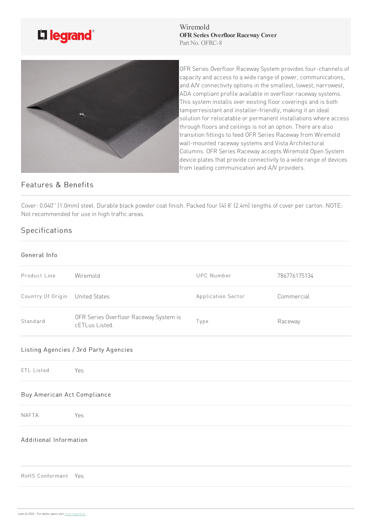

Wiremold **OFR** Series Overfloor Raceway Cover Part No. OFRC-8



OFR Series Overfloor Raceway System provides four-channels of capacity and access to a wide range of power, communications, and A/V connectivity options in the smallest, lowest, narrowest, ADA compliant profile available in overfloor raceway systems. This system installs over existing floor coverings and is both tamperresistant and installer-friendly, making it an ideal solution for relocatable or permanent installations where access through floors and ceilings is not an option. There are also transition fittings to feed OFR Series Raceway from Wiremold wall-mounted raceway systems and Vista Architectural Columns. OFR Series Raceway accepts Wiremold Open System device plates that provide connectivity to a wide range of devices from leading communication and A/V providers.

## Features & Benefits

Cover: 0.040" (1.0mm) steel. Durable black powder coat finish. Packed four (4) 8' (2.4m) lengths of cover per carton. NOTE: Not recommended for use in high traffic areas.

## Specifications

## General Info

| Product Line                | Wiremold                                                 | <b>UPC Number</b>  | 786776175134 |
|-----------------------------|----------------------------------------------------------|--------------------|--------------|
| Country Of Origin           | <b>United States</b>                                     | Application Sector | Commercial   |
| Standard                    | OFR Series Overfloor Raceway System is<br>cETLus Listed. | Type               | Raceway      |
|                             | Listing Agencies / 3rd Party Agencies                    |                    |              |
| ETL Listed                  | Yes                                                      |                    |              |
| Buy American Act Compliance |                                                          |                    |              |
| <b>NAFTA</b>                | Yes                                                      |                    |              |
| Additional Information      |                                                          |                    |              |
| RoHS Conformant Yes         |                                                          |                    |              |
|                             |                                                          |                    |              |